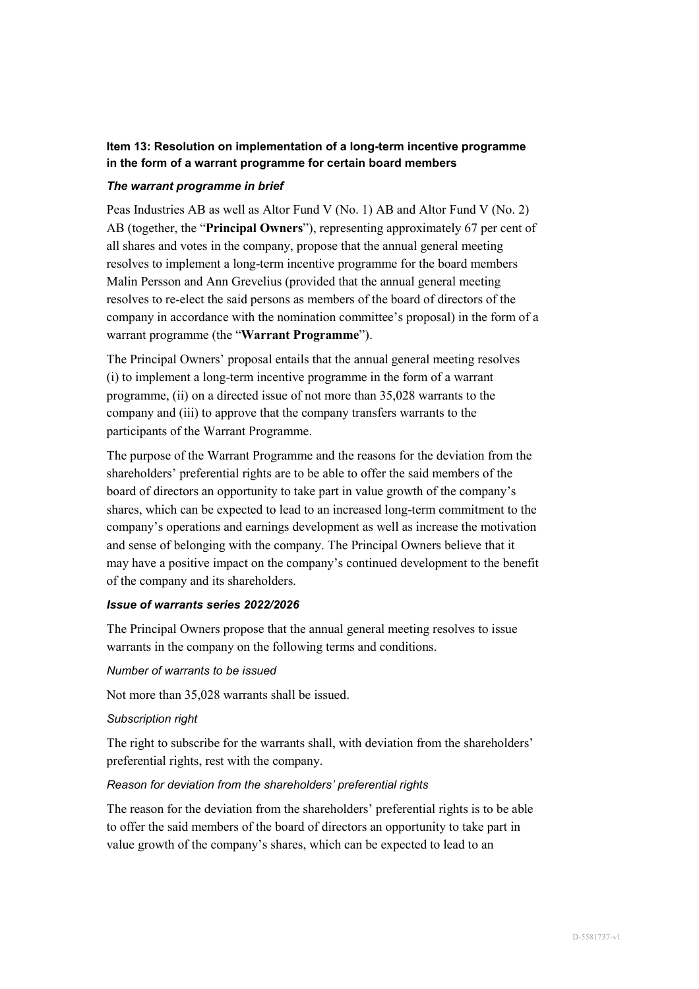# **Item 13: Resolution on implementation of a long-term incentive programme in the form of a warrant programme for certain board members**

## *The warrant programme in brief*

Peas Industries AB as well as Altor Fund V (No. 1) AB and Altor Fund V (No. 2) AB (together, the "**Principal Owners**"), representing approximately 67 per cent of all shares and votes in the company, propose that the annual general meeting resolves to implement a long-term incentive programme for the board members Malin Persson and Ann Grevelius (provided that the annual general meeting resolves to re-elect the said persons as members of the board of directors of the company in accordance with the nomination committee's proposal) in the form of a warrant programme (the "**Warrant Programme**").

The Principal Owners' proposal entails that the annual general meeting resolves (i) to implement a long-term incentive programme in the form of a warrant programme, (ii) on a directed issue of not more than 35,028 warrants to the company and (iii) to approve that the company transfers warrants to the participants of the Warrant Programme.

The purpose of the Warrant Programme and the reasons for the deviation from the shareholders' preferential rights are to be able to offer the said members of the board of directors an opportunity to take part in value growth of the company's shares, which can be expected to lead to an increased long-term commitment to the company's operations and earnings development as well as increase the motivation and sense of belonging with the company. The Principal Owners believe that it may have a positive impact on the company's continued development to the benefit of the company and its shareholders.

# *Issue of warrants series 2022/2026*

The Principal Owners propose that the annual general meeting resolves to issue warrants in the company on the following terms and conditions.

#### *Number of warrants to be issued*

Not more than 35,028 warrants shall be issued.

## *Subscription right*

The right to subscribe for the warrants shall, with deviation from the shareholders' preferential rights, rest with the company.

## *Reason for deviation from the shareholders' preferential rights*

The reason for the deviation from the shareholders' preferential rights is to be able to offer the said members of the board of directors an opportunity to take part in value growth of the company's shares, which can be expected to lead to an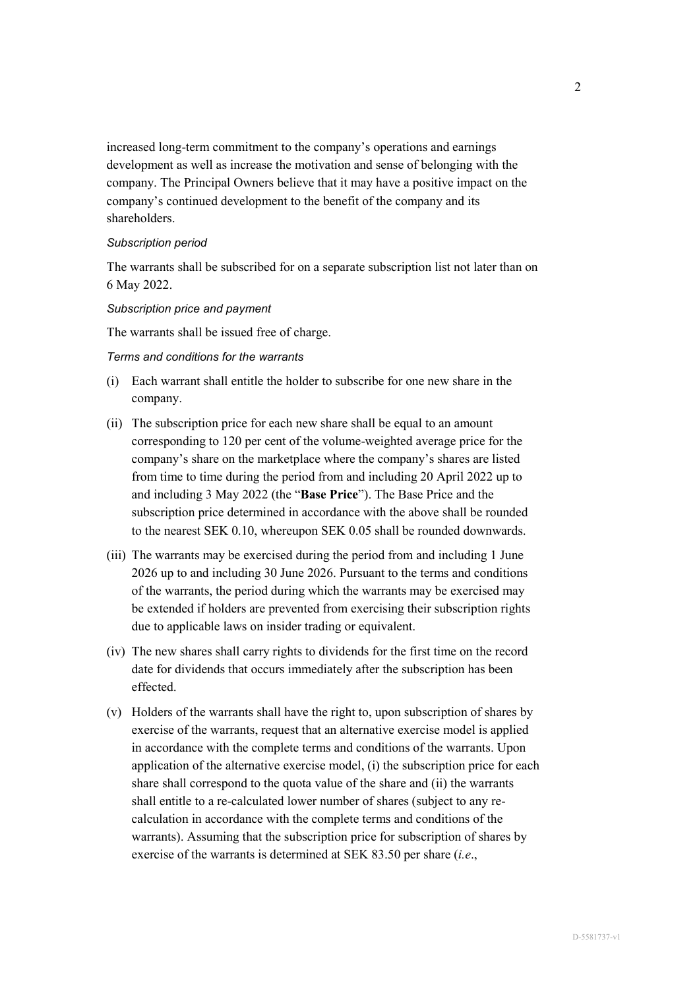increased long-term commitment to the company's operations and earnings development as well as increase the motivation and sense of belonging with the company. The Principal Owners believe that it may have a positive impact on the company's continued development to the benefit of the company and its shareholders.

#### *Subscription period*

The warrants shall be subscribed for on a separate subscription list not later than on 6 May 2022.

#### *Subscription price and payment*

The warrants shall be issued free of charge.

## *Terms and conditions for the warrants*

- (i) Each warrant shall entitle the holder to subscribe for one new share in the company.
- (ii) The subscription price for each new share shall be equal to an amount corresponding to 120 per cent of the volume-weighted average price for the company's share on the marketplace where the company's shares are listed from time to time during the period from and including 20 April 2022 up to and including 3 May 2022 (the "**Base Price**"). The Base Price and the subscription price determined in accordance with the above shall be rounded to the nearest SEK 0.10, whereupon SEK 0.05 shall be rounded downwards.
- (iii) The warrants may be exercised during the period from and including 1 June 2026 up to and including 30 June 2026. Pursuant to the terms and conditions of the warrants, the period during which the warrants may be exercised may be extended if holders are prevented from exercising their subscription rights due to applicable laws on insider trading or equivalent.
- (iv) The new shares shall carry rights to dividends for the first time on the record date for dividends that occurs immediately after the subscription has been effected.
- (v) Holders of the warrants shall have the right to, upon subscription of shares by exercise of the warrants, request that an alternative exercise model is applied in accordance with the complete terms and conditions of the warrants. Upon application of the alternative exercise model, (i) the subscription price for each share shall correspond to the quota value of the share and (ii) the warrants shall entitle to a re-calculated lower number of shares (subject to any recalculation in accordance with the complete terms and conditions of the warrants). Assuming that the subscription price for subscription of shares by exercise of the warrants is determined at SEK 83.50 per share (*i.e*.,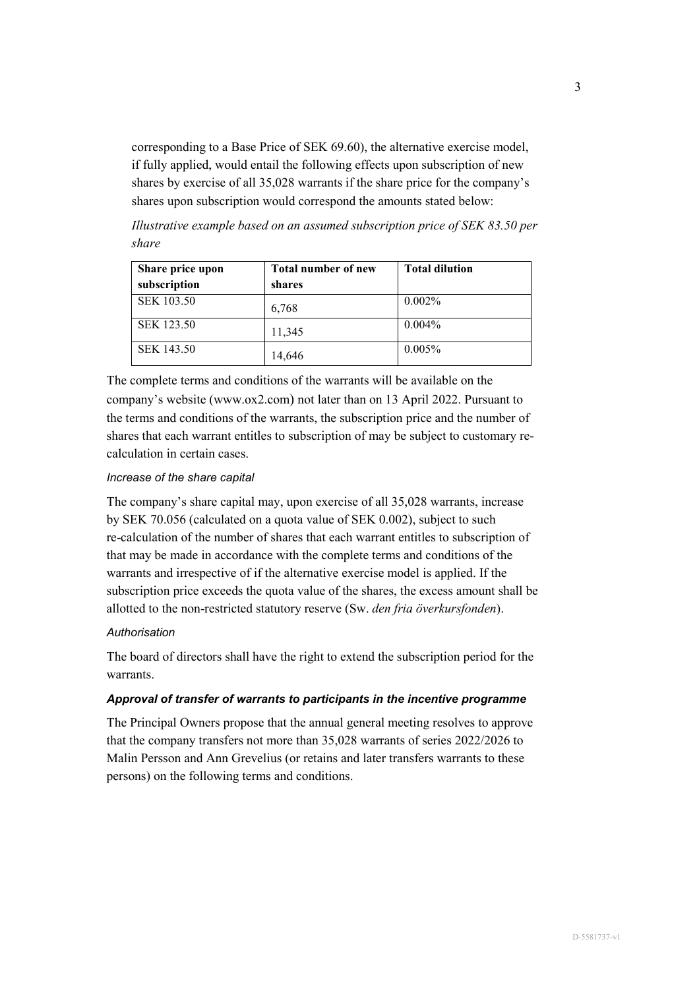corresponding to a Base Price of SEK 69.60), the alternative exercise model, if fully applied, would entail the following effects upon subscription of new shares by exercise of all 35,028 warrants if the share price for the company's shares upon subscription would correspond the amounts stated below:

*Illustrative example based on an assumed subscription price of SEK 83.50 per share* 

| Share price upon  | <b>Total number of new</b> | <b>Total dilution</b> |
|-------------------|----------------------------|-----------------------|
| subscription      | shares                     |                       |
| <b>SEK 103.50</b> | 6,768                      | $0.002\%$             |
| <b>SEK 123.50</b> | 11,345                     | $0.004\%$             |
| SEK 143.50        | 14,646                     | 0.005%                |

The complete terms and conditions of the warrants will be available on the company's website (www.ox2.com) not later than on 13 April 2022. Pursuant to the terms and conditions of the warrants, the subscription price and the number of shares that each warrant entitles to subscription of may be subject to customary recalculation in certain cases.

#### *Increase of the share capital*

The company's share capital may, upon exercise of all 35,028 warrants, increase by SEK 70.056 (calculated on a quota value of SEK 0.002), subject to such re-calculation of the number of shares that each warrant entitles to subscription of that may be made in accordance with the complete terms and conditions of the warrants and irrespective of if the alternative exercise model is applied. If the subscription price exceeds the quota value of the shares, the excess amount shall be allotted to the non-restricted statutory reserve (Sw. *den fria överkursfonden*).

#### *Authorisation*

The board of directors shall have the right to extend the subscription period for the warrants.

### *Approval of transfer of warrants to participants in the incentive programme*

The Principal Owners propose that the annual general meeting resolves to approve that the company transfers not more than 35,028 warrants of series 2022/2026 to Malin Persson and Ann Grevelius (or retains and later transfers warrants to these persons) on the following terms and conditions.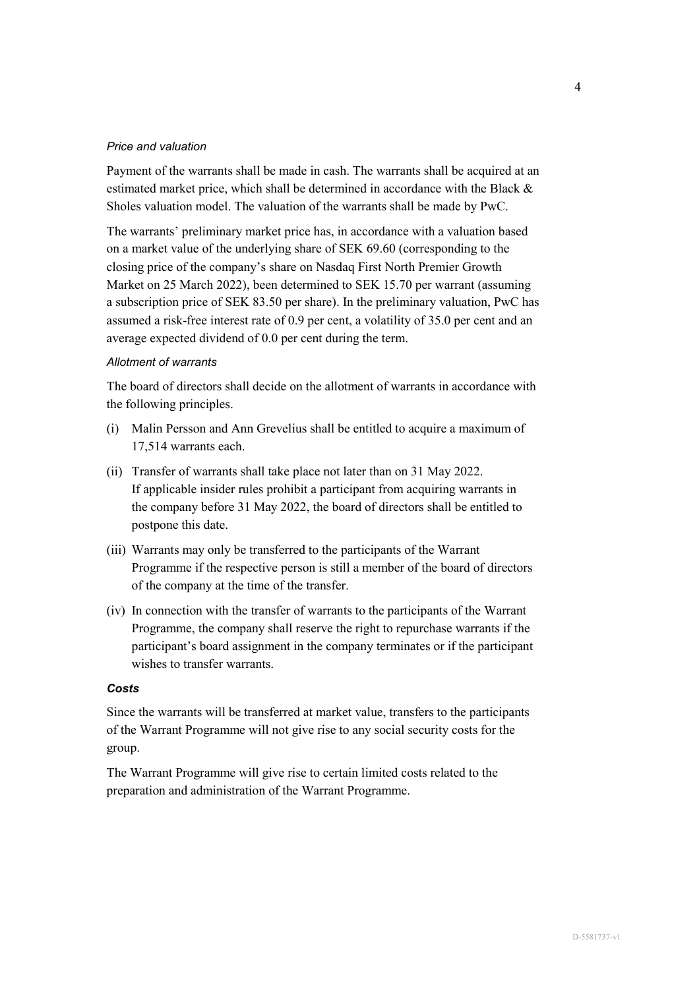### *Price and valuation*

Payment of the warrants shall be made in cash. The warrants shall be acquired at an estimated market price, which shall be determined in accordance with the Black & Sholes valuation model. The valuation of the warrants shall be made by PwC.

The warrants' preliminary market price has, in accordance with a valuation based on a market value of the underlying share of SEK 69.60 (corresponding to the closing price of the company's share on Nasdaq First North Premier Growth Market on 25 March 2022), been determined to SEK 15.70 per warrant (assuming a subscription price of SEK 83.50 per share). In the preliminary valuation, PwC has assumed a risk-free interest rate of 0.9 per cent, a volatility of 35.0 per cent and an average expected dividend of 0.0 per cent during the term.

#### *Allotment of warrants*

The board of directors shall decide on the allotment of warrants in accordance with the following principles.

- (i) Malin Persson and Ann Grevelius shall be entitled to acquire a maximum of 17,514 warrants each.
- (ii) Transfer of warrants shall take place not later than on 31 May 2022. If applicable insider rules prohibit a participant from acquiring warrants in the company before 31 May 2022, the board of directors shall be entitled to postpone this date.
- (iii) Warrants may only be transferred to the participants of the Warrant Programme if the respective person is still a member of the board of directors of the company at the time of the transfer.
- (iv) In connection with the transfer of warrants to the participants of the Warrant Programme, the company shall reserve the right to repurchase warrants if the participant's board assignment in the company terminates or if the participant wishes to transfer warrants.

## *Costs*

Since the warrants will be transferred at market value, transfers to the participants of the Warrant Programme will not give rise to any social security costs for the group.

The Warrant Programme will give rise to certain limited costs related to the preparation and administration of the Warrant Programme.